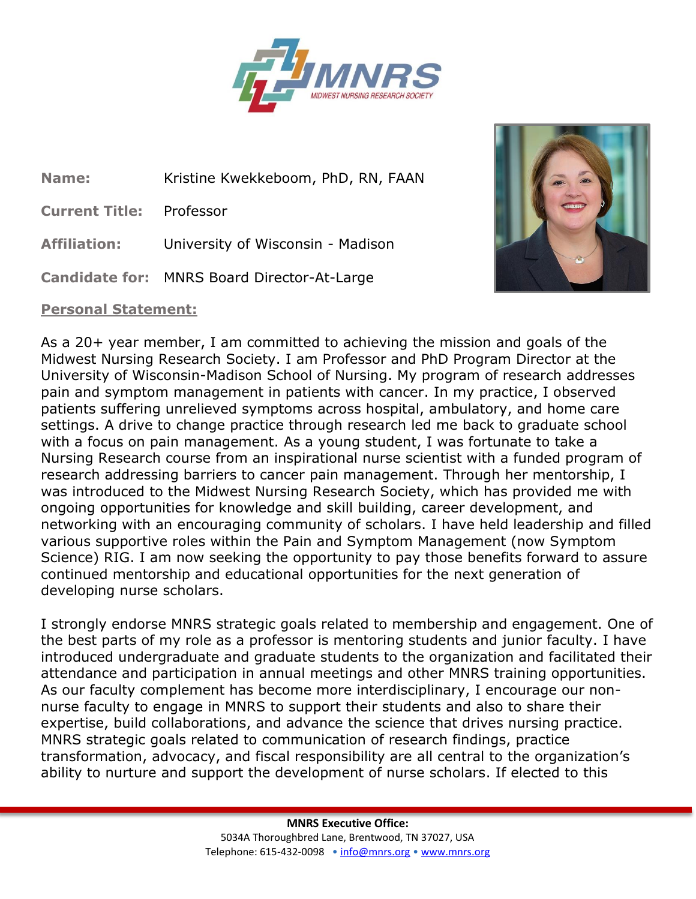

**Name:** Kristine Kwekkeboom, PhD, RN, FAAN

**Current Title:** Professor

**Affiliation:** University of Wisconsin - Madison

**Candidate for:** MNRS Board Director-At-Large

## **Personal Statement:**



As a 20+ year member, I am committed to achieving the mission and goals of the Midwest Nursing Research Society. I am Professor and PhD Program Director at the University of Wisconsin-Madison School of Nursing. My program of research addresses pain and symptom management in patients with cancer. In my practice, I observed patients suffering unrelieved symptoms across hospital, ambulatory, and home care settings. A drive to change practice through research led me back to graduate school with a focus on pain management. As a young student, I was fortunate to take a Nursing Research course from an inspirational nurse scientist with a funded program of research addressing barriers to cancer pain management. Through her mentorship, I was introduced to the Midwest Nursing Research Society, which has provided me with ongoing opportunities for knowledge and skill building, career development, and networking with an encouraging community of scholars. I have held leadership and filled various supportive roles within the Pain and Symptom Management (now Symptom Science) RIG. I am now seeking the opportunity to pay those benefits forward to assure continued mentorship and educational opportunities for the next generation of developing nurse scholars.

I strongly endorse MNRS strategic goals related to membership and engagement. One of the best parts of my role as a professor is mentoring students and junior faculty. I have introduced undergraduate and graduate students to the organization and facilitated their attendance and participation in annual meetings and other MNRS training opportunities. As our faculty complement has become more interdisciplinary, I encourage our nonnurse faculty to engage in MNRS to support their students and also to share their expertise, build collaborations, and advance the science that drives nursing practice. MNRS strategic goals related to communication of research findings, practice transformation, advocacy, and fiscal responsibility are all central to the organization's ability to nurture and support the development of nurse scholars. If elected to this